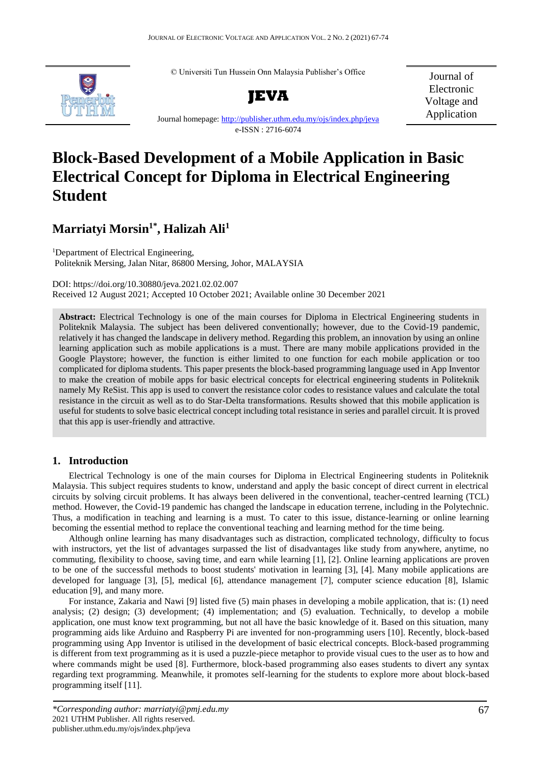© Universiti Tun Hussein Onn Malaysia Publisher's Office



**JEVA**

Journal of Electronic Voltage and Application

Journal homepage[: http://publisher.uthm.edu.my/ojs/index.php/jeva](http://publisher.uthm.edu.my/ojs/index.php/jeva) e-ISSN : 2716-6074

# **Block-Based Development of a Mobile Application in Basic Electrical Concept for Diploma in Electrical Engineering Student**

# **Marriatyi Morsin1\*, Halizah Ali<sup>1</sup>**

<sup>1</sup>Department of Electrical Engineering, Politeknik Mersing, Jalan Nitar, 86800 Mersing, Johor, MALAYSIA

DOI: https://doi.org/10.30880/jeva.2021.02.02.007 Received 12 August 2021; Accepted 10 October 2021; Available online 30 December 2021

**Abstract:** Electrical Technology is one of the main courses for Diploma in Electrical Engineering students in Politeknik Malaysia. The subject has been delivered conventionally; however, due to the Covid-19 pandemic, relatively it has changed the landscape in delivery method. Regarding this problem, an innovation by using an online learning application such as mobile applications is a must. There are many mobile applications provided in the Google Playstore; however, the function is either limited to one function for each mobile application or too complicated for diploma students. This paper presents the block-based programming language used in App Inventor to make the creation of mobile apps for basic electrical concepts for electrical engineering students in Politeknik namely My ReSist. This app is used to convert the resistance color codes to resistance values and calculate the total resistance in the circuit as well as to do Star-Delta transformations. Results showed that this mobile application is useful for students to solve basic electrical concept including total resistance in series and parallel circuit. It is proved that this app is user-friendly and attractive.

# **1. Introduction**

Electrical Technology is one of the main courses for Diploma in Electrical Engineering students in Politeknik Malaysia. This subject requires students to know, understand and apply the basic concept of direct current in electrical circuits by solving circuit problems. It has always been delivered in the conventional, teacher-centred learning (TCL) method. However, the Covid-19 pandemic has changed the landscape in education terrene, including in the Polytechnic. Thus, a modification in teaching and learning is a must. To cater to this issue, distance-learning or online learning becoming the essential method to replace the conventional teaching and learning method for the time being.

Although online learning has many disadvantages such as distraction, complicated technology, difficulty to focus with instructors, yet the list of advantages surpassed the list of disadvantages like study from anywhere, anytime, no commuting, flexibility to choose, saving time, and earn while learning [1], [2]. Online learning applications are proven to be one of the successful methods to boost students' motivation in learning [3], [4]. Many mobile applications are developed for language [3], [5], medical [6], attendance management [7], computer science education [8], Islamic education [9], and many more.

For instance, Zakaria and Nawi [9] listed five (5) main phases in developing a mobile application, that is: (1) need analysis; (2) design; (3) development; (4) implementation; and (5) evaluation. Technically, to develop a mobile application, one must know text programming, but not all have the basic knowledge of it. Based on this situation, many programming aids like Arduino and Raspberry Pi are invented for non-programming users [10]. Recently, block-based programming using App Inventor is utilised in the development of basic electrical concepts. Block-based programming is different from text programming as it is used a puzzle-piece metaphor to provide visual cues to the user as to how and where commands might be used [8]. Furthermore, block-based programming also eases students to divert any syntax regarding text programming. Meanwhile, it promotes self-learning for the students to explore more about block-based programming itself [11].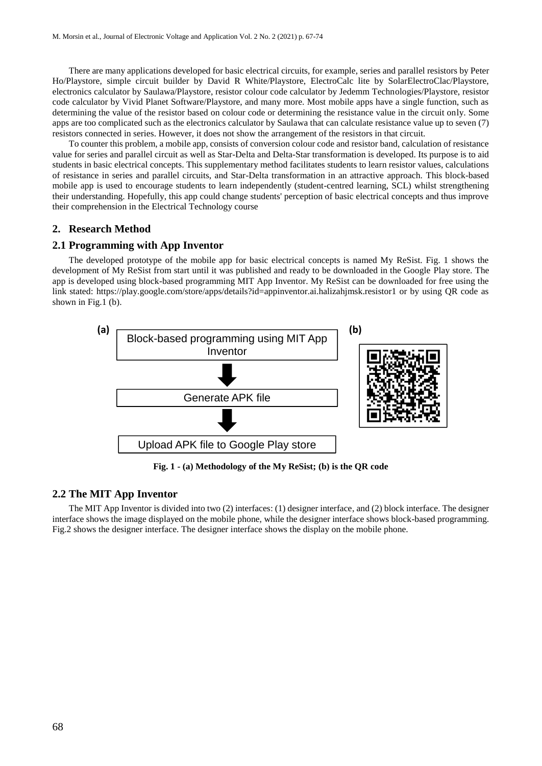There are many applications developed for basic electrical circuits, for example, series and parallel resistors by Peter Ho/Playstore, simple circuit builder by David R White/Playstore, ElectroCalc lite by SolarElectroClac/Playstore, electronics calculator by Saulawa/Playstore, resistor colour code calculator by Jedemm Technologies/Playstore, resistor code calculator by Vivid Planet Software/Playstore, and many more. Most mobile apps have a single function, such as determining the value of the resistor based on colour code or determining the resistance value in the circuit only. Some apps are too complicated such as the electronics calculator by Saulawa that can calculate resistance value up to seven (7) resistors connected in series. However, it does not show the arrangement of the resistors in that circuit.

To counter this problem, a mobile app, consists of conversion colour code and resistor band, calculation of resistance value for series and parallel circuit as well as Star-Delta and Delta-Star transformation is developed. Its purpose is to aid students in basic electrical concepts. This supplementary method facilitates students to learn resistor values, calculations of resistance in series and parallel circuits, and Star-Delta transformation in an attractive approach. This block-based mobile app is used to encourage students to learn independently (student-centred learning, SCL) whilst strengthening their understanding. Hopefully, this app could change students' perception of basic electrical concepts and thus improve their comprehension in the Electrical Technology course

#### **2. Research Method**

#### **2.1 Programming with App Inventor**

The developed prototype of the mobile app for basic electrical concepts is named My ReSist. Fig. 1 shows the development of My ReSist from start until it was published and ready to be downloaded in the Google Play store. The app is developed using block-based programming MIT App Inventor. My ReSist can be downloaded for free using the link stated: https://play.google.com/store/apps/details?id=appinventor.ai.halizahjmsk.resistor1 or by using QR code as shown in Fig.1 (b).



**Fig. 1 - (a) Methodology of the My ReSist; (b) is the QR code**

# **2.2 The MIT App Inventor**

The MIT App Inventor is divided into two (2) interfaces: (1) designer interface, and (2) block interface. The designer interface shows the image displayed on the mobile phone, while the designer interface shows block-based programming. Fig.2 shows the designer interface. The designer interface shows the display on the mobile phone.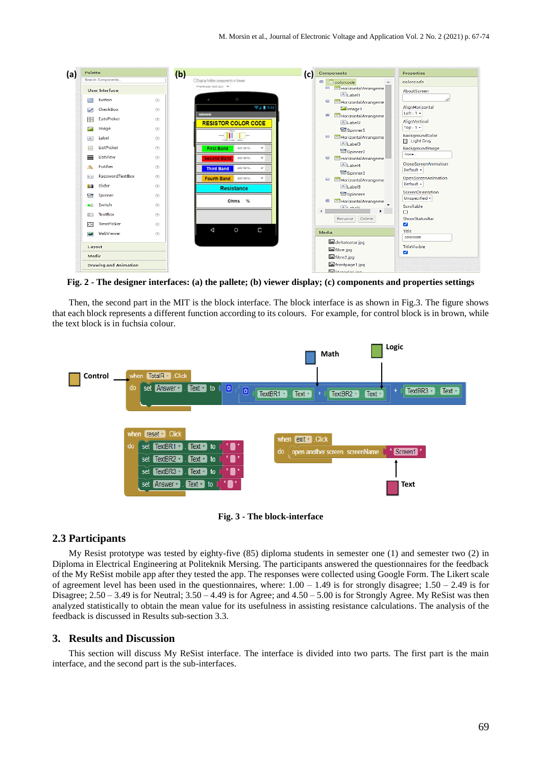| Palette<br>(a) |                                                                                                                                                                                                                                                                                                                                                     | (b)<br>(c)                                                                                                                                                                                                                                                                                                                                                                                                                                                                                                                          | <b>Components</b>                                                                                                                                                                                                                                                                                                                                                                                                                                                                                   | <b>Properties</b>                                                                                                                                                                                                                                                                                                                  |
|----------------|-----------------------------------------------------------------------------------------------------------------------------------------------------------------------------------------------------------------------------------------------------------------------------------------------------------------------------------------------------|-------------------------------------------------------------------------------------------------------------------------------------------------------------------------------------------------------------------------------------------------------------------------------------------------------------------------------------------------------------------------------------------------------------------------------------------------------------------------------------------------------------------------------------|-----------------------------------------------------------------------------------------------------------------------------------------------------------------------------------------------------------------------------------------------------------------------------------------------------------------------------------------------------------------------------------------------------------------------------------------------------------------------------------------------------|------------------------------------------------------------------------------------------------------------------------------------------------------------------------------------------------------------------------------------------------------------------------------------------------------------------------------------|
|                | Search Components<br><b>User Interface</b>                                                                                                                                                                                                                                                                                                          | ODisplay hidden components in Viewer<br>Phone size (505,320) V                                                                                                                                                                                                                                                                                                                                                                                                                                                                      | Θ<br>colorcode<br>$\overline{\phantom{a}}$<br>Θ<br><b>PO</b> Horizontal Arrangeme                                                                                                                                                                                                                                                                                                                                                                                                                   | colorcode<br>AboutScreen                                                                                                                                                                                                                                                                                                           |
|                | <b>Button</b><br><b>Contract</b><br>CheckBox<br>✓<br><b>DatePicker</b><br>200<br>$\sim$<br>Image<br>Label<br>$\mathbb{A}$<br>ListPicker<br>目<br>ListView<br>≡<br>Notifier<br>PasswordTextBox<br>$\alpha$ $\alpha$<br>Slider<br><b>Till</b><br>Spinner<br>昏<br>Switch<br>œ<br><b>TextBox</b><br>$\mathbb{I}$<br>8.00<br>TimePicker<br>WebViewer<br>æ | <b>SD</b><br>(2)<br>▼ 1 8 9:48<br>(2)<br>colorcode<br>$\circledcirc$<br><b>RESISTOR COLOR CODE</b><br>$\circledcirc$<br>$\circledcirc$<br>$\circledcirc$<br><b>First Band</b><br>add items.<br>$\checkmark$<br>(2)<br><b>Second Band</b><br>$\checkmark$<br>add dems<br>$\circledcirc$<br>add items.<br><b>Third Band</b><br>$\checkmark$<br>(2)<br><b>Fourth Band</b><br>add items:<br>$\checkmark$<br>$\circledcirc$<br><b>Resistance</b><br>$\circledcirc$<br>Ohms %<br>$\circledcirc$<br>(2)<br>(2)<br>О<br>Δ<br>$\circ$<br>(2) | All abell<br>$\bullet$<br><b>PO</b> Horizontal Arrangeme<br>Image1<br>$\qquad \qquad \blacksquare$<br><b>P9</b> Horizontal Arrangeme<br>$A$ Label <sub>2</sub><br>Spinner5<br>Horizontal Arrangeme<br>$\bullet$<br>A Label3<br>Spinner <sub>2</sub><br>$\bullet$<br><b>PG</b> Horizontal Arrangeme<br>A Label4<br>Spinner3<br>$\bullet$<br>Horizontal Arrangeme<br>A Label5<br>Spinner4<br>$\bullet$<br>HorizontalArrangeme<br>All shale<br>×.<br>4<br>Delete<br>Rename<br>Media<br>deltatostar.jpg | AlignHorizontal<br>Left: $1 -$<br>AlignVertical<br>Top: $1 +$<br>BackgroundColor<br>Light Gray<br>BackgroundImage<br>None<br>CloseScreenAnimation<br>Default +<br>OpenScreenAnimation<br>Default +<br>ScreenOrientation<br>Unspecified -<br>Scrollable<br>$\Box$<br>ShowStatusBar<br>$\overline{\mathbf{v}}$<br>Title<br>colorcode |
|                | Layout<br>Media<br><b>Drawing and Animation</b>                                                                                                                                                                                                                                                                                                     |                                                                                                                                                                                                                                                                                                                                                                                                                                                                                                                                     | Fall fibre.jpg<br>fibre2.jpg<br>frontpage1.jpg<br><b>Eal</b> litercaleri ing                                                                                                                                                                                                                                                                                                                                                                                                                        | TitleVisible<br>$\overline{\mathbf{v}}$                                                                                                                                                                                                                                                                                            |

**Fig. 2 - The designer interfaces: (a) the pallete; (b) viewer display; (c) components and properties settings**

Then, the second part in the MIT is the block interface. The block interface is as shown in Fig.3. The figure shows that each block represents a different function according to its colours. For example, for control block is in brown, while the text block is in fuchsia colour.



**Fig. 3 - The block-interface** 

#### **2.3 Participants**

My Resist prototype was tested by eighty-five (85) diploma students in semester one (1) and semester two (2) in Diploma in Electrical Engineering at Politeknik Mersing. The participants answered the questionnaires for the feedback of the My ReSist mobile app after they tested the app. The responses were collected using Google Form. The Likert scale of agreement level has been used in the questionnaires, where:  $1.00 - 1.49$  is for strongly disagree;  $1.50 - 2.49$  is for Disagree;  $2.50 - 3.49$  is for Neutral;  $3.50 - 4.49$  is for Agree; and  $4.50 - 5.00$  is for Strongly Agree. My ReSist was then analyzed statistically to obtain the mean value for its usefulness in assisting resistance calculations. The analysis of the feedback is discussed in Results sub-section 3.3.

#### **3. Results and Discussion**

This section will discuss My ReSist interface. The interface is divided into two parts. The first part is the main interface, and the second part is the sub-interfaces.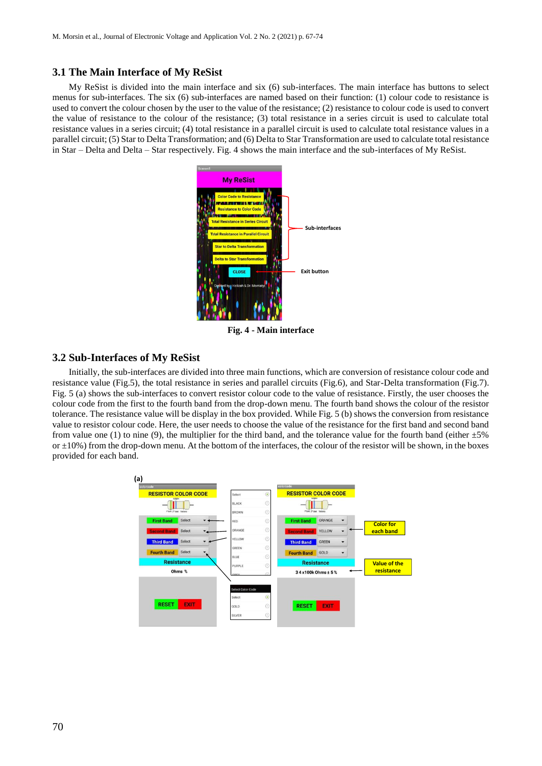#### **3.1 The Main Interface of My ReSist**

My ReSist is divided into the main interface and six (6) sub-interfaces. The main interface has buttons to select menus for sub-interfaces. The six (6) sub-interfaces are named based on their function: (1) colour code to resistance is used to convert the colour chosen by the user to the value of the resistance; (2) resistance to colour code is used to convert the value of resistance to the colour of the resistance; (3) total resistance in a series circuit is used to calculate total resistance values in a series circuit; (4) total resistance in a parallel circuit is used to calculate total resistance values in a parallel circuit; (5) Star to Delta Transformation; and (6) Delta to Star Transformation are used to calculate total resistance in Star – Delta and Delta – Star respectively. Fig. 4 shows the main interface and the sub-interfaces of My ReSist.



**Fig. 4 - Main interface**

## **3.2 Sub-Interfaces of My ReSist**

Initially, the sub-interfaces are divided into three main functions, which are conversion of resistance colour code and resistance value (Fig.5), the total resistance in series and parallel circuits (Fig.6), and Star-Delta transformation (Fig.7). Fig. 5 (a) shows the sub-interfaces to convert resistor colour code to the value of resistance. Firstly, the user chooses the colour code from the first to the fourth band from the drop-down menu. The fourth band shows the colour of the resistor tolerance. The resistance value will be display in the box provided. While Fig. 5 (b) shows the conversion from resistance value to resistor colour code. Here, the user needs to choose the value of the resistance for the first band and second band from value one (1) to nine (9), the multiplier for the third band, and the tolerance value for the fourth band (either  $\pm 5\%$ or  $\pm 10\%$ ) from the drop-down menu. At the bottom of the interfaces, the colour of the resistor will be shown, in the boxes provided for each band.

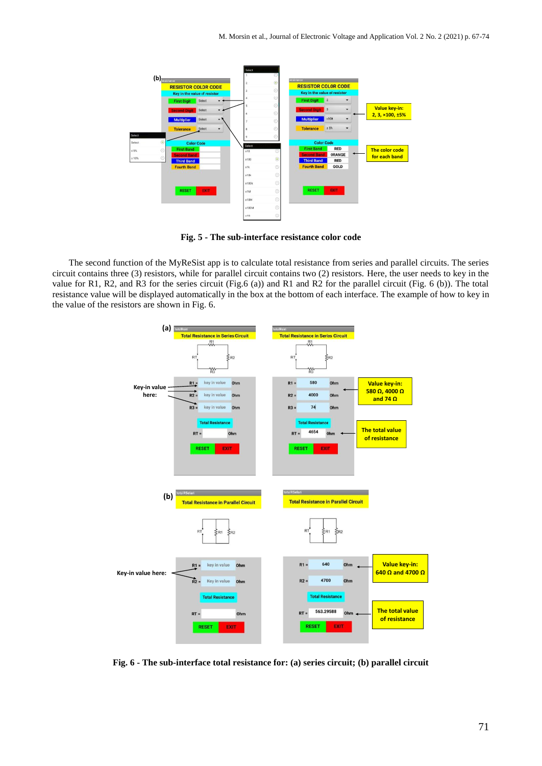

**Fig. 5 - The sub-interface resistance color code**

The second function of the MyReSist app is to calculate total resistance from series and parallel circuits. The series circuit contains three (3) resistors, while for parallel circuit contains two (2) resistors. Here, the user needs to key in the value for R1, R2, and R3 for the series circuit (Fig.6 (a)) and R1 and R2 for the parallel circuit (Fig. 6 (b)). The total resistance value will be displayed automatically in the box at the bottom of each interface. The example of how to key in the value of the resistors are shown in Fig. 6.



**Fig. 6 - The sub-interface total resistance for: (a) series circuit; (b) parallel circuit**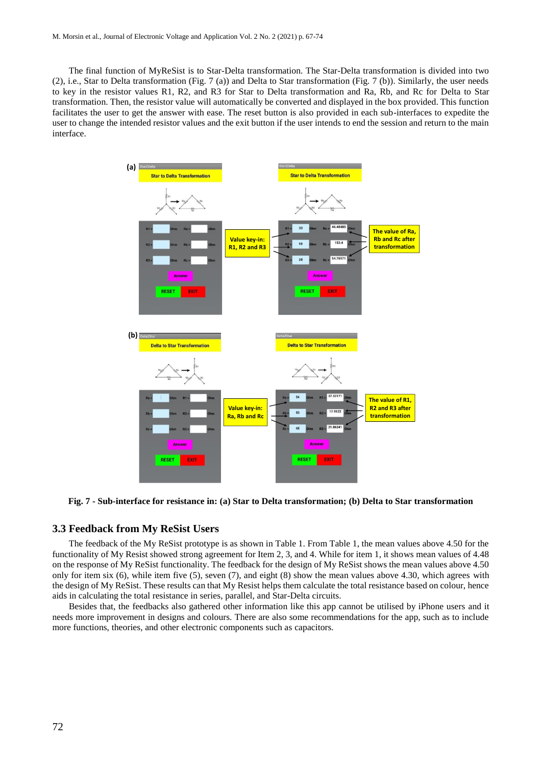The final function of MyReSist is to Star-Delta transformation. The Star-Delta transformation is divided into two (2), i.e., Star to Delta transformation (Fig. 7 (a)) and Delta to Star transformation (Fig. 7 (b)). Similarly, the user needs to key in the resistor values R1, R2, and R3 for Star to Delta transformation and Ra, Rb, and Rc for Delta to Star transformation. Then, the resistor value will automatically be converted and displayed in the box provided. This function facilitates the user to get the answer with ease. The reset button is also provided in each sub-interfaces to expedite the user to change the intended resistor values and the exit button if the user intends to end the session and return to the main interface.



**Fig. 7 - Sub-interface for resistance in: (a) Star to Delta transformation; (b) Delta to Star transformation**

#### **3.3 Feedback from My ReSist Users**

The feedback of the My ReSist prototype is as shown in Table 1. From Table 1, the mean values above 4.50 for the functionality of My Resist showed strong agreement for Item 2, 3, and 4. While for item 1, it shows mean values of 4.48 on the response of My ReSist functionality. The feedback for the design of My ReSist shows the mean values above 4.50 only for item six (6), while item five (5), seven (7), and eight (8) show the mean values above 4.30, which agrees with the design of My ReSist. These results can that My Resist helps them calculate the total resistance based on colour, hence aids in calculating the total resistance in series, parallel, and Star-Delta circuits.

Besides that, the feedbacks also gathered other information like this app cannot be utilised by iPhone users and it needs more improvement in designs and colours. There are also some recommendations for the app, such as to include more functions, theories, and other electronic components such as capacitors.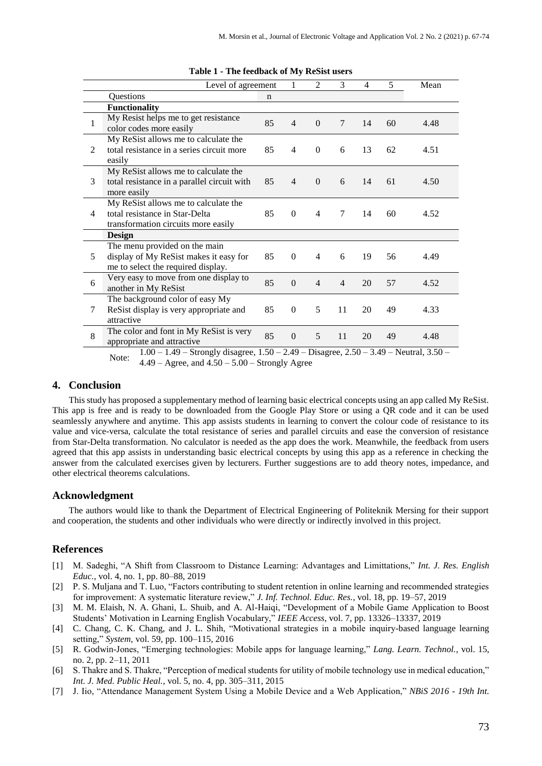| Level of agreement |                                                                                                               |    | 1              | $\overline{2}$           | 3              | $\overline{4}$ | 5  | Mean |
|--------------------|---------------------------------------------------------------------------------------------------------------|----|----------------|--------------------------|----------------|----------------|----|------|
|                    | Questions                                                                                                     | n  |                |                          |                |                |    |      |
|                    | <b>Functionality</b>                                                                                          |    |                |                          |                |                |    |      |
| 1                  | My Resist helps me to get resistance<br>color codes more easily                                               | 85 | $\overline{4}$ | $\Omega$                 | 7              | 14             | 60 | 4.48 |
| $\mathfrak{D}$     | My ReSist allows me to calculate the<br>total resistance in a series circuit more<br>easily                   | 85 | 4              | $\overline{0}$           | 6              | 13             | 62 | 4.51 |
| 3                  | My ReSist allows me to calculate the<br>total resistance in a parallel circuit with<br>more easily            | 85 | $\overline{4}$ | $\Omega$                 | 6              | 14             | 61 | 4.50 |
| 4                  | My ReSist allows me to calculate the<br>total resistance in Star-Delta<br>transformation circuits more easily | 85 | $\Omega$       | $\overline{4}$           | 7              | 14             | 60 | 4.52 |
|                    | Design                                                                                                        |    |                |                          |                |                |    |      |
| 5                  | The menu provided on the main<br>display of My ReSist makes it easy for<br>me to select the required display. | 85 | $\Omega$       | $\overline{\mathcal{A}}$ | 6              | 19             | 56 | 4.49 |
| 6                  | Very easy to move from one display to<br>another in My ReSist                                                 | 85 | $\Omega$       | $\overline{4}$           | $\overline{4}$ | 20             | 57 | 4.52 |
| 7                  | The background color of easy My<br>ReSist display is very appropriate and<br>attractive                       | 85 | $\Omega$       | 5                        | 11             | 20             | 49 | 4.33 |
| 8                  | The color and font in My ReSist is very<br>appropriate and attractive                                         | 85 | $\Omega$       | 5                        | 11             | 20             | 49 | 4.48 |

**Table 1 - The feedback of My ReSist users**

Note: 1.00 – 1.49 – Strongly disagree, 1.50 – 2.49 – Disagree, 2.50 – 3.49 – Neutral, 3.50 –  $4.49 - \text{Agree}$ , and  $4.50 - 5.00 - \text{Strongly Age}$ 

#### **4. Conclusion**

This study has proposed a supplementary method of learning basic electrical concepts using an app called My ReSist. This app is free and is ready to be downloaded from the Google Play Store or using a QR code and it can be used seamlessly anywhere and anytime. This app assists students in learning to convert the colour code of resistance to its value and vice-versa, calculate the total resistance of series and parallel circuits and ease the conversion of resistance from Star-Delta transformation. No calculator is needed as the app does the work. Meanwhile, the feedback from users agreed that this app assists in understanding basic electrical concepts by using this app as a reference in checking the answer from the calculated exercises given by lecturers. Further suggestions are to add theory notes, impedance, and other electrical theorems calculations.

#### **Acknowledgment**

The authors would like to thank the Department of Electrical Engineering of Politeknik Mersing for their support and cooperation, the students and other individuals who were directly or indirectly involved in this project.

### **References**

- [1] M. Sadeghi, "A Shift from Classroom to Distance Learning: Advantages and Limittations," *Int. J. Res. English Educ.*, vol. 4, no. 1, pp. 80–88, 2019
- [2] P. S. Muljana and T. Luo, "Factors contributing to student retention in online learning and recommended strategies for improvement: A systematic literature review," *J. Inf. Technol. Educ. Res.*, vol. 18, pp. 19–57, 2019
- [3] M. M. Elaish, N. A. Ghani, L. Shuib, and A. Al-Haiqi, "Development of a Mobile Game Application to Boost Students' Motivation in Learning English Vocabulary," *IEEE Access*, vol. 7, pp. 13326–13337, 2019
- [4] C. Chang, C. K. Chang, and J. L. Shih, "Motivational strategies in a mobile inquiry-based language learning setting," *System*, vol. 59, pp. 100–115, 2016
- [5] R. Godwin-Jones, "Emerging technologies: Mobile apps for language learning," *Lang. Learn. Technol.*, vol. 15, no. 2, pp. 2–11, 2011
- [6] S. Thakre and S. Thakre, "Perception of medical students for utility of mobile technology use in medical education," *Int. J. Med. Public Heal.*, vol. 5, no. 4, pp. 305–311, 2015
- [7] J. Iio, "Attendance Management System Using a Mobile Device and a Web Application," *NBiS 2016 - 19th Int.*